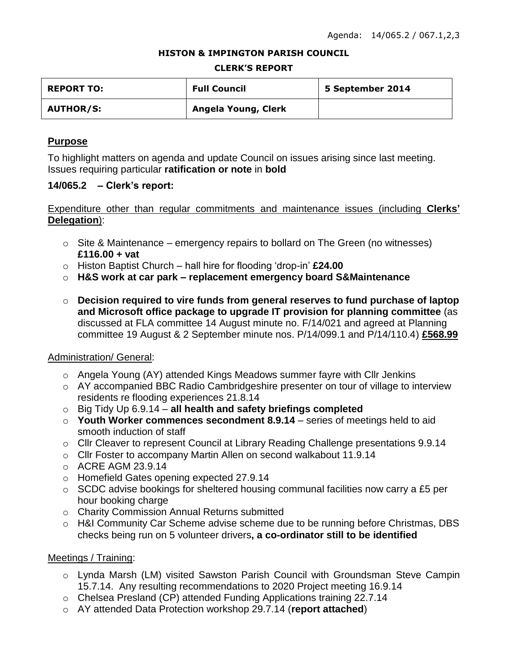#### **HISTON & IMPINGTON PARISH COUNCIL**

#### **CLERK'S REPORT**

| <b>REPORT TO:</b> | <b>Full Council</b> | 5 September 2014 |
|-------------------|---------------------|------------------|
| <b>AUTHOR/S:</b>  | Angela Young, Clerk |                  |

# **Purpose**

To highlight matters on agenda and update Council on issues arising since last meeting. Issues requiring particular **ratification or note** in **bold**

### **14/065.2 – Clerk's report:**

# Expenditure other than regular commitments and maintenance issues (including **Clerks' Delegation**):

- $\circ$  Site & Maintenance emergency repairs to bollard on The Green (no witnesses) **£116.00 + vat**
- o Histon Baptist Church hall hire for flooding 'drop-in' **£24.00**
- o **H&S work at car park – replacement emergency board S&Maintenance**
- o **Decision required to vire funds from general reserves to fund purchase of laptop and Microsoft office package to upgrade IT provision for planning committee** (as discussed at FLA committee 14 August minute no. F/14/021 and agreed at Planning committee 19 August & 2 September minute nos. P/14/099.1 and P/14/110.4) **£568.99**

# Administration/ General:

- o Angela Young (AY) attended Kings Meadows summer fayre with Cllr Jenkins
- o AY accompanied BBC Radio Cambridgeshire presenter on tour of village to interview residents re flooding experiences 21.8.14
- o Big Tidy Up 6.9.14 **all health and safety briefings completed**
- o **Youth Worker commences secondment 8.9.14** series of meetings held to aid smooth induction of staff
- o Cllr Cleaver to represent Council at Library Reading Challenge presentations 9.9.14
- $\circ$  Cllr Foster to accompany Martin Allen on second walkabout 11.9.14
- o ACRE AGM 23.9.14
- o Homefield Gates opening expected 27.9.14
- $\circ$  SCDC advise bookings for sheltered housing communal facilities now carry a £5 per hour booking charge
- o Charity Commission Annual Returns submitted
- o H&I Community Car Scheme advise scheme due to be running before Christmas, DBS checks being run on 5 volunteer drivers**, a co-ordinator still to be identified**

# Meetings / Training:

- o Lynda Marsh (LM) visited Sawston Parish Council with Groundsman Steve Campin 15.7.14. Any resulting recommendations to 2020 Project meeting 16.9.14
- o Chelsea Presland (CP) attended Funding Applications training 22.7.14
- o AY attended Data Protection workshop 29.7.14 (**report attached**)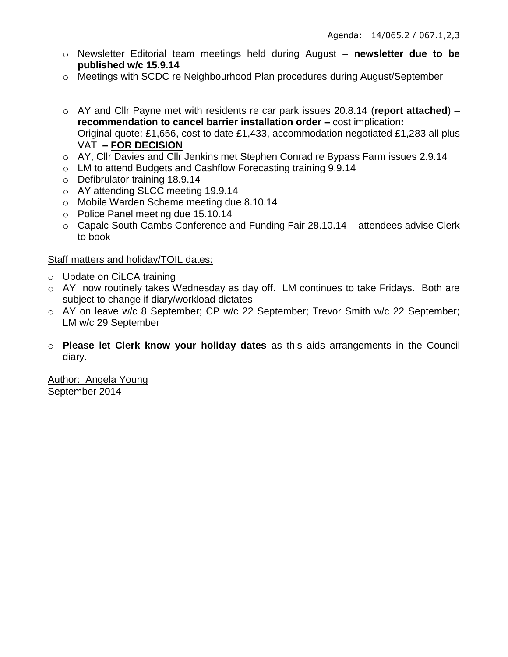- o Newsletter Editorial team meetings held during August **newsletter due to be published w/c 15.9.14**
- o Meetings with SCDC re Neighbourhood Plan procedures during August/September
- o AY and Cllr Payne met with residents re car park issues 20.8.14 (**report attached**) **recommendation to cancel barrier installation order –** cost implication**:** Original quote: £1,656, cost to date £1,433, accommodation negotiated £1,283 all plus VAT **– FOR DECISION**
- o AY, Cllr Davies and Cllr Jenkins met Stephen Conrad re Bypass Farm issues 2.9.14
- o LM to attend Budgets and Cashflow Forecasting training 9.9.14
- o Defibrulator training 18.9.14
- o AY attending SLCC meeting 19.9.14
- o Mobile Warden Scheme meeting due 8.10.14
- o Police Panel meeting due 15.10.14
- o Capalc South Cambs Conference and Funding Fair 28.10.14 attendees advise Clerk to book

### Staff matters and holiday/TOIL dates:

- o Update on CiLCA training
- o AY now routinely takes Wednesday as day off. LM continues to take Fridays. Both are subject to change if diary/workload dictates
- o AY on leave w/c 8 September; CP w/c 22 September; Trevor Smith w/c 22 September; LM w/c 29 September
- o **Please let Clerk know your holiday dates** as this aids arrangements in the Council diary.

Author: Angela Young September 2014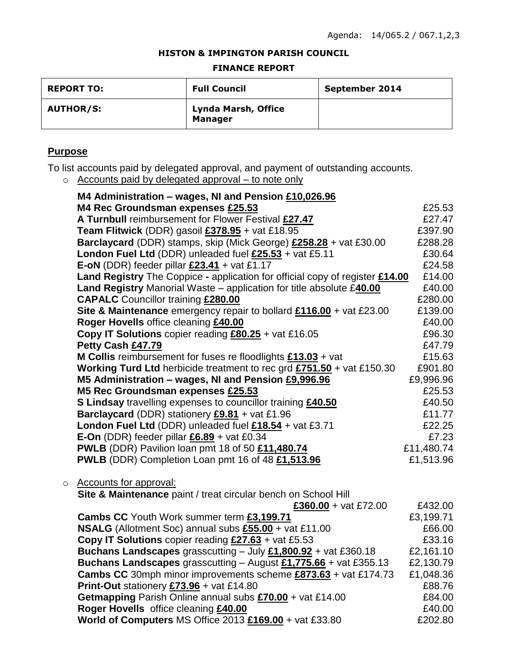#### **HISTON & IMPINGTON PARISH COUNCIL**

#### **FINANCE REPORT**

| <b>REPORT TO:</b> | <b>Full Council</b>                          | September 2014 |
|-------------------|----------------------------------------------|----------------|
| <b>AUTHOR/S:</b>  | <b>Lynda Marsh, Office</b><br><b>Manager</b> |                |

# **Purpose**

To list accounts paid by delegated approval, and payment of outstanding accounts.

o Accounts paid by delegated approval – to note only

|   | M4 Administration - wages, NI and Pension £10,026.96                                   |                      |
|---|----------------------------------------------------------------------------------------|----------------------|
|   | M4 Rec Groundsman expenses £25.53                                                      | £25.53               |
|   | A Turnbull reimbursement for Flower Festival £27.47                                    | £27.47               |
|   | Team Flitwick (DDR) gasoil £378.95 + vat £18.95                                        | £397.90              |
|   | Barclaycard (DDR) stamps, skip (Mick George) £258.28 + vat £30.00                      | £288.28              |
|   | London Fuel Ltd (DDR) unleaded fuel £25.53 + vat £5.11                                 | £30.64               |
|   | E-oN (DDR) feeder pillar $£23.41 +$ vat £1.17                                          | £24.58               |
|   | <b>Land Registry</b> The Coppice - application for official copy of register £14.00    | £14.00               |
|   | Land Registry Manorial Waste - application for title absolute £40.00                   | £40.00               |
|   | <b>CAPALC</b> Councillor training £280.00                                              | £280.00              |
|   | Site & Maintenance emergency repair to bollard $£116.00 +$ vat £23.00                  | £139.00              |
|   | Roger Hovells office cleaning £40.00                                                   | £40.00               |
|   | <b>Copy IT Solutions</b> copier reading $£80.25 + \text{vat } £16.05$                  | £96.30               |
|   | Petty Cash £47.79                                                                      | £47.79               |
|   | <b>M Collis</b> reimbursement for fuses re floodlights $£13.03 + ∇$                    | £15.63               |
|   | <b>Working Turd Ltd</b> herbicide treatment to rec grd $£751.50 + \text{vat } £150.30$ | £901.80              |
|   | M5 Administration - wages, NI and Pension £9,996.96                                    | £9,996.96            |
|   | M5 Rec Groundsman expenses £25.53                                                      | £25.53               |
|   | S Lindsay travelling expenses to councillor training £40.50                            | £40.50               |
|   | <b>Barclaycard</b> (DDR) stationery $£9.81 + \text{vat } £1.96$                        | £11.77               |
|   | London Fuel Ltd (DDR) unleaded fuel £18.54 + vat £3.71                                 | £22.25               |
|   | E-On (DDR) feeder pillar $£6.89 +$ vat £0.34                                           | £7.23                |
|   | PWLB (DDR) Pavilion loan pmt 18 of 50 £11,480.74                                       | £11,480.74           |
|   | PWLB (DDR) Completion Loan pmt 16 of 48 £1,513.96                                      | £1,513.96            |
|   |                                                                                        |                      |
| O | <b>Accounts for approval:</b>                                                          |                      |
|   | Site & Maintenance paint / treat circular bench on School Hill                         |                      |
|   | £360.00 + vat £72.00<br>Cambs CC Youth Work summer term £3,199.71                      | £432.00<br>£3,199.71 |
|   | NSALG (Allotment Soc) annual subs £55.00 + vat £11.00                                  | £66.00               |
|   | <b>Copy IT Solutions</b> copier reading $£27.63 + \text{vat } £5.53$                   | £33.16               |
|   | <b>Buchans Landscapes</b> grasscutting $-$ July $£1,800.92 + \text{vat } £360.18$      | £2,161.10            |
|   | Buchans Landscapes grasscutting $-$ August £1,775.66 + vat £355.13                     | £2,130.79            |
|   | <b>Cambs CC</b> 30mph minor improvements scheme £873.63 + vat £174.73                  | £1,048.36            |
|   | <b>Print-Out</b> stationery $£73.96 + \text{vat } £14.80$                              | £88.76               |
|   | Getmapping Parish Online annual subs £70.00 + vat £14.00                               | £84.00               |
|   | Roger Hovells office cleaning £40.00                                                   | £40.00               |
|   | World of Computers MS Office 2013 £169.00 + vat £33.80                                 | £202.80              |
|   |                                                                                        |                      |